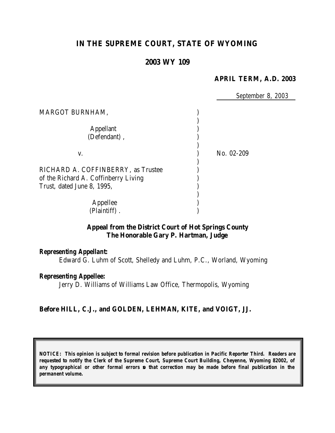# **IN THE SUPREME COURT, STATE OF WYOMING**

## **2003 WY 109**

### **APRIL TERM, A.D. 2003**

*September 8, 2003*

| MARGOT BURNHAM,                                                                                          |            |
|----------------------------------------------------------------------------------------------------------|------------|
| <b>Appellant</b><br>(Defendant),                                                                         |            |
| V.                                                                                                       | No. 02-209 |
| RICHARD A. COFFINBERRY, as Trustee<br>of the Richard A. Coffinberry Living<br>Trust, dated June 8, 1995, |            |
| Appellee<br>(Plaintiff)                                                                                  |            |

## **Appeal from the District Court of Hot Springs County The Honorable Gary P. Hartman, Judge**

#### *Representing Appellant:*

Edward G. Luhm of Scott, Shelledy and Luhm, P.C., Worland, Wyoming

#### *Representing Appellee:*

Jerry D. Williams of Williams Law Office, Thermopolis, Wyoming

## **Before HILL, C.J., and GOLDEN, LEHMAN, KITE, and VOIGT, JJ.**

*NOTICE: This opinion is subject to formal revision before publication in Pacific Reporter Third. Readers are requested to notify the Clerk of the Supreme Court, Supreme Court Building, Cheyenne, Wyoming 82002, of any typographical or other formal errors so that correction may be made before final publication in the permanent volume.*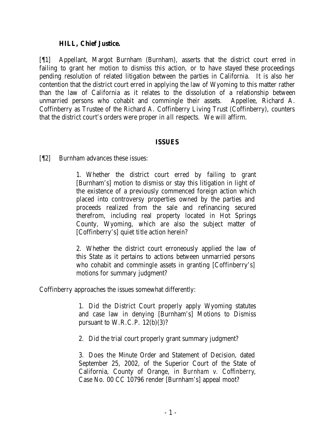## **HILL, Chief Justice.**

[¶1] Appellant, Margot Burnham (Burnham), asserts that the district court erred in failing to grant her motion to dismiss this action, or to have stayed these proceedings pending resolution of related litigation between the parties in California. It is also her contention that the district court erred in applying the law of Wyoming to this matter rather than the law of California as it relates to the dissolution of a relationship between unmarried persons who cohabit and commingle their assets. Appellee, Richard A. Coffinberry as Trustee of the Richard A. Coffinberry Living Trust (Coffinberry), counters that the district court's orders were proper in a ll respects. We will affirm.

#### **ISSUES**

[¶2] Burnham advances these issues:

1. Whether the district court erred by failing to grant [Burnham's] motion to dismiss or stay this litigation in light of the existence of a previously commenced foreign action which placed into controversy properties owned by the parties and proceeds realized from the sale and refinancing secured therefrom, including real property located in Hot Springs County, Wyoming, which are also the subject matter of [Coffinberry's] quiet title action herein?

2. Whether the district court erroneously applied the law of this State as it pertains to actions between unmarried persons who cohabit and commingle assets in granting [Coffinberry's] motions for summary judgment?

Coffinberry approaches the issues somewhat differently:

1. Did the District Court properly apply Wyoming statutes and case law in denying [Burnham's] Motions to Dismiss pursuant to W.R.C.P.  $12(b)(3)$ ?

2. Did the trial court properly grant summary judgment?

3. Does the Minute Order and Statement of Decision, dated September 25, 2002, of the Superior Court of the State of California, County of Orange, in *Burnham v. Coffinberry*, Case No. 00 CC 10796 render [Burnham's] appeal moot?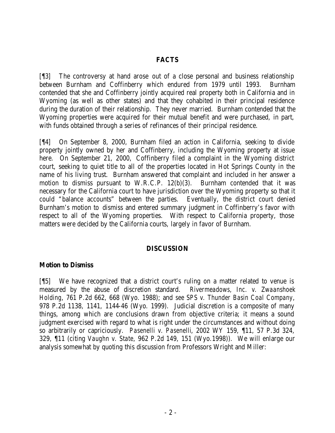## **FACTS**

[¶3] The controversy at hand arose out of a close personal and business relationship between Burnham and Coffinberry which endured from 1979 until 1993. Burnham contended that she and Coffinberry jointly acquired real property both in California and in Wyoming (as well as other states) and that they cohabited in their principal residence during the duration of their relationship. They never married. Burnham contended that the Wyoming properties were acquired for their mutual benefit and were purchased, in part, with funds obtained through a series of refinances of their principal residence.

[¶4] On September 8, 2000, Burnham filed an action in California, seeking to divide property jointly owned by her and Coffinberry, including the Wyoming property at issue here. On September 21, 2000, Coffinberry filed a complaint in the Wyoming district court, seeking to quiet title to all of the properties located in Hot Springs County in the name of his living trust. Burnham answered that complaint and included in her answer a motion to dismiss pursuant to W.R.C.P. 12(b)(3). Burnham contended that it was necessary for the California court to have jurisdiction over the Wyoming property so that it could "balance accounts" between the parties. Eventually, the district court denied Burnham's motion to dismiss and entered summary judgment in Coffinberry's favor with respect to all of the Wyoming properties. With respect to California property, those matters were decided by the California courts, largely in favor of Burnham.

## **DISCUSSION**

#### **Motion to Dismiss**

[¶5] We have recognized that a district court's ruling on a matter related to venue is measured by the abuse of discretion standard. *Rivermeadows, Inc. v. Zwaanshoek Holding*, 761 P.2d 662, 668 (Wyo. 1988); and *see SPS v. Thunder Basin Coal Company*, 978 P.2d 1138, 1141, 1144-46 (Wyo. 1999). Judicial discretion is a composite of many things, among which are conclusions drawn from objective criteria; it means a sound judgment exercised with regard to what is right under the circumstances and without doing so arbitrarily or capriciously. *Pasenelli v. Pasenelli*, 2002 WY 159, ¶11, 57 P.3d 324, 329, ¶11 (citing *Vaughn v. State*, 962 P.2d 149, 151 (Wyo.1998)). We will enlarge our analysis somewhat by quoting this discussion from Professors Wright and Miller: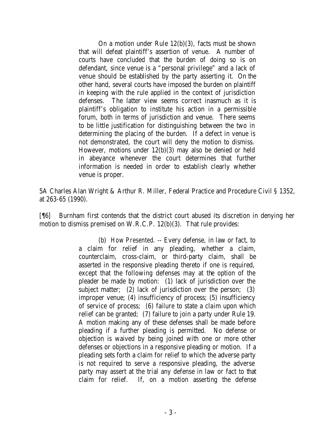On a motion under Rule 12(b)(3), facts must be shown that will defeat plaintiff's assertion of venue. A number of courts have concluded that the burden of doing so is on defendant, since venue is a "personal privilege" and a lack of venue should be established by the party asserting it. On the other hand, several courts have imposed the burden on plaintiff in keeping with the rule applied in the context of jurisdiction defenses. The latter view seems correct inasmuch as it is plaintiff's obligation to institute his action in a permissible forum, both in terms of jurisdiction and venue. There seems to be little justification for distinguishing between the two in determining the placing of the burden. If a defect in venue is not demonstrated, the court will deny the motion to dismiss. However, motions under 12(b)(3) may also be denied or held in abeyance whenever the court determines that further information is needed in order to establish clearly whether venue is proper.

5A Charles Alan Wright & Arthur R. Miller, Federal Practice and Procedure Civil § 1352, at 263-65 (1990).

[¶6] Burnham first contends that the district court abused its discretion in denying her motion to dismiss premised on W.R.C.P. 12(b)(3). That rule provides:

> (b) *How Presented*. -- Every defense, in law or fact, to a claim for relief in any pleading, whether a claim, counterclaim, cross-claim, or third-party claim, shall be asserted in the responsive pleading thereto if one is required, except that the following defenses may at the option of the pleader be made by motion: (1) lack of jurisdiction over the subject matter; (2) lack of jurisdiction over the person; (3) improper venue; (4) insufficiency of process; (5) insufficiency of service of process; (6) failure to state a claim upon which relief can be granted; (7) failure to join a party under Rule 19. A motion making any of these defenses shall be made before pleading if a further pleading is permitted. No defense or objection is waived by being joined with one or more other defenses or objections in a responsive pleading or motion. If a pleading sets forth a claim for relief to which the adverse party is not required to serve a responsive pleading, the adverse party may assert at the trial any defense in law or fact to that claim for relief. If, on a motion asserting the defense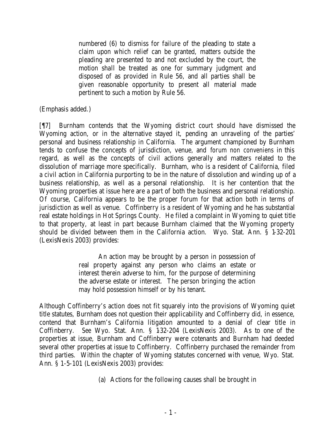numbered (6) to dismiss for failure of the pleading to state a claim upon which relief can be granted, matters outside the pleading are presented to and not excluded by the court, the motion shall be treated as one for summary judgment and disposed of as provided in Rule 56, and all parties shall be given reasonable opportunity to present all material made pertinent to such a motion by Rule 56.

(Emphasis added.)

[¶7] Burnham contends that the Wyoming district court should have dismissed the Wyoming action, or in the alternative stayed it, pending an unraveling of the parties' personal and business relationship in California. The argument championed by Burnham tends to confuse the concepts of jurisdiction, venue, and *forum non conveniens* in this regard, as well as the concepts of civil actions generally and matters related to the dissolution of marriage more specifically. Burnham, who is a resident of California, filed a civil action in California purporting to be in the nature of dissolution and winding up of a business relationship, as well as a personal relationship. It is her contention that the Wyoming properties at issue here are a part of both the business and personal relationship. Of course, California appears to be the proper forum for that action both in terms of jurisdiction as well as venue. Coffinberry is a resident of Wyoming and he has substantial real estate holdings in Hot Springs County. He filed a complaint in Wyoming to quiet title to that property, at least in part because Burnham claimed that the Wyoming property should be divided between them in the California action. Wyo. Stat. Ann. § 1-32-201 (LexisNexis 2003) provides:

> An action may be brought by a person in possession of real property against any person who claims an estate or interest therein adverse to him, for the purpose of determining the adverse estate or interest. The person bringing the action may hold possession himself or by his tenant.

Although Coffinberry's action does not fit squarely into the provisions of Wyoming quiet title statutes, Burnham does not question their applicability and Coffinberry did, in essence, contend that Burnham's California litigation amounted to a denial of clear title in Coffinberry. *See* Wyo. Stat. Ann. § 132-204 (LexisNexis 2003). As to one of the properties at issue, Burnham and Coffinberry were cotenants and Burnham had deeded several other properties at issue to Coffinberry. Coffinberry purchased the remainder from third parties. Within the chapter of Wyoming statutes concerned with venue, Wyo. Stat. Ann. § 1-5-101 (LexisNexis 2003) provides:

(a) Actions for the following causes shall be brought in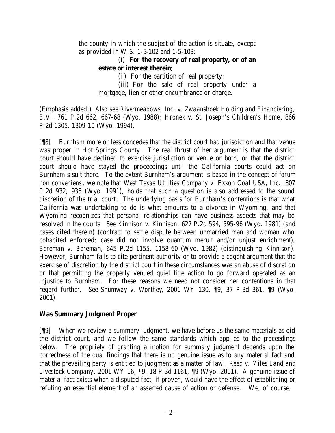the county in which the subject of the action is situate, except as provided in W.S. 1-5-102 and 1-5-103:

## (i) **For the recovery of real property, or of an estate or interest therein**;

(ii) For the partition of real property;

(iii) For the sale of real property under a mortgage, lien or other encumbrance or charge.

(Emphasis added.) *Also see Rivermeadows, Inc. v. Zwaanshoek Holding and Financiering, B.V.,* 761 P.2d 662, 667-68 (Wyo. 1988); *Hronek v. St. Joseph's Children's Home*, 866 P.2d 1305, 1309-10 (Wyo. 1994).

[¶8] Burnham more or less concedes that the district court had jurisdiction and that venue was proper in Hot Springs County. The real thrust of her argument is that the district court should have declined to exercise jurisdiction or venue or both, or that the district court should have stayed the proceedings until the California courts could act on Burnham's suit there. To the extent Burnham's argument is based in the concept of *forum non conveniens*, we note that *West Texas Utilities Company v. Exxon Coal USA*, *Inc.,* 807 P.2d 932, 935 (Wyo. 1991), holds that such a question is also addressed to the sound discretion of the trial court. The underlying basis for Burnham's contentions is that what California was undertaking to do is what amounts to a divorce in Wyoming, and that Wyoming recognizes that personal relationships can have business aspects that may be resolved in the courts. *See Kinnison v. Kinnison*, 627 P.2d 594, 595-96 (Wyo. 1981) (and cases cited therein) (contract to settle dispute between unmarried man and woman who cohabited enforced; case did not involve quantum meruit and/or unjust enrichment); *Bereman v. Bereman*, 645 P.2d 1155, 1158-60 (Wyo. 1982) (distinguishing *Kinnison*). However, Burnham fails to cite pertinent authority or to provide a cogent argument that the exercise of discretion by the district court in these circumstances was an abuse of discretion or that permitting the properly venued quiet title action to go forward operated as an injustice to Burnham. For these reasons we need not consider her contentions in that regard further. *See Shumway v. Worthey*, 2001 WY 130, ¶9, 37 P.3d 361, ¶9 (Wyo. 2001).

# **Was Summary Judgment Proper**

[¶9] When we review a summary judgment, we have before us the same materials as did the district court, and we follow the same standards which applied to the proceedings below. The propriety of granting a motion for summary judgment depends upon the correctness of the dual findings that there is no genuine issue as to any material fact and that the prevailing party is entitled to judgment as a matter of law. *Reed v. Miles Land and Livestock Company*, 2001 WY 16, ¶9, 18 P.3d 1161, ¶9 (Wyo. 2001). A genuine issue of material fact exists when a disputed fact, if proven, would have the effect of establishing or refuting an essential element of an asserted cause of action or defense. We, of course,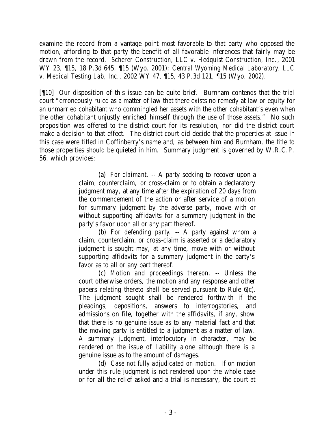examine the record from a vantage point most favorable to that party who opposed the motion, affording to that party the benefit of all favorable inferences that fairly may be drawn from the record. *Scherer Construction, LLC v. Hedquist Construction, Inc.*, 2001 WY 23, ¶15, 18 P.3d 645, ¶15 (Wyo. 2001); *Central Wyoming Medical Laboratory, LLC v. Medical Testing Lab, Inc.*, 2002 WY 47, ¶15, 43 P.3d 121, ¶15 (Wyo. 2002).

[¶10] Our disposition of this issue can be quite brief. Burnham contends that the trial court "erroneously ruled as a matter of law that there exists no remedy at law or equity for an unmarried cohabitant who commingled her assets with the other cohabitant's even when the other cohabitant unjustly enriched himself through the use of those assets." No such proposition was offered to the district court for its resolution, nor did the district court make a decision to that effect. The district court did decide that the properties at issue in this case were titled in Coffinberry's name and, as between him and Burnham, the title to those properties should be quieted in him. Summary judgment is governed by W.R.C.P. 56, which provides:

> (a) *For claimant*. -- A party seeking to recover upon a claim, counterclaim, or cross-claim or to obtain a declaratory judgment may, at any time after the expiration of 20 days from the commencement of the action or after service of a motion for summary judgment by the adverse party, move with or without supporting affidavits for a summary judgment in the party's favor upon all or any part thereof.

> (b) *For defending party*. -- A party against whom a claim, counterclaim, or cross-claim is asserted or a declaratory judgment is sought may, at any time, move with or without supporting affidavits for a summary judgment in the party's favor as to all or any part thereof.

> (c) *Motion and proceedings thereon*. -- Unless the court otherwise orders, the motion and any response and other papers relating thereto shall be served pursuant to Rule 6(c). The judgment sought shall be rendered forthwith if the pleadings, depositions, answers to interrogatories, and admissions on file, together with the affidavits, if any, show that there is no genuine issue as to any material fact and that the moving party is entitled to a judgment as a matter of law. A summary judgment, interlocutory in character, may be rendered on the issue of liability alone although there is a genuine issue as to the amount of damages.

> (d) *Case not fully adjudicated on motion*. If on motion under this rule judgment is not rendered upon the whole case or for all the relief asked and a trial is necessary, the court at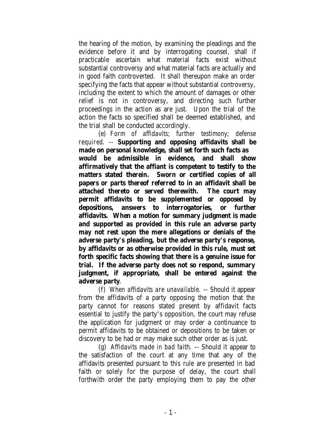the hearing of the motion, by examining the pleadings and the evidence before it and by interrogating counsel, shall if practicable ascertain what material facts exist without substantial controversy and what material facts are actually and in good faith controverted. It shall thereupon make an order specifying the facts that appear without substantial controversy, including the extent to which the amount of damages or other relief is not in controversy, and directing such further proceedings in the action as are just. Upon the trial of the action the facts so specified shall be deemed established, and the trial shall be conducted accordingly.

(e) *Form of affidavits; further testimony; defense required*. -- **Supporting and opposing affidavits shall be made on personal knowledge, shall set forth such facts as would be admissible in evidence, and shall show affirmatively that the affiant is competent to testify to the matters stated therein. Sworn or certified copies of all papers or parts thereof referred to in an affidavit shall be attached thereto or served therewith. The court may permit affidavits to be supplemented or opposed by depositions, answers to interrogatories, or further affidavits. When a motion for summary judgment is made and supported as provided in this rule an adverse party may not rest upon the mere allegations or denials of the adverse party's pleading, but the adverse party's response, by affidavits or as otherwise provided in this rule, must set forth specific facts showing that there is a genuine issue for trial. If the adverse party does not so respond, summary judgment, if appropriate, shall be entered against the adverse party**.

(f) *When affidavits are unavailable*. -- Should it appear from the affidavits of a party opposing the motion that the party cannot for reasons stated present by affidavit facts essential to justify the party's opposition, the court may refuse the application for judgment or may order a continuance to permit affidavits to be obtained or depositions to be taken or discovery to be had or may make such other order as is just.

(g) *Affidavits made in bad faith*. -- Should it appear to the satisfaction of the court at any time that any of the affidavits presented pursuant to this rule are presented in bad faith or solely for the purpose of delay, the court shall forthwith order the party employing them to pay the other